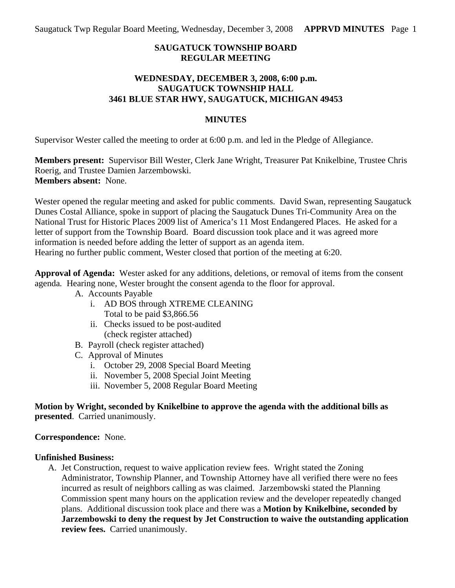## **SAUGATUCK TOWNSHIP BOARD REGULAR MEETING**

### **WEDNESDAY, DECEMBER 3, 2008, 6:00 p.m. SAUGATUCK TOWNSHIP HALL 3461 BLUE STAR HWY, SAUGATUCK, MICHIGAN 49453**

#### **MINUTES**

Supervisor Wester called the meeting to order at 6:00 p.m. and led in the Pledge of Allegiance.

**Members present:** Supervisor Bill Wester, Clerk Jane Wright, Treasurer Pat Knikelbine, Trustee Chris Roerig, and Trustee Damien Jarzembowski. **Members absent:** None.

Wester opened the regular meeting and asked for public comments. David Swan, representing Saugatuck Dunes Costal Alliance, spoke in support of placing the Saugatuck Dunes Tri-Community Area on the National Trust for Historic Places 2009 list of America's 11 Most Endangered Places. He asked for a letter of support from the Township Board. Board discussion took place and it was agreed more information is needed before adding the letter of support as an agenda item. Hearing no further public comment, Wester closed that portion of the meeting at 6:20.

**Approval of Agenda:** Wester asked for any additions, deletions, or removal of items from the consent agenda*.* Hearing none, Wester brought the consent agenda to the floor for approval.

- A. Accounts Payable
	- i. AD BOS through XTREME CLEANING Total to be paid \$3,866.56
	- ii. Checks issued to be post-audited (check register attached)
- B. Payroll (check register attached)
- C. Approval of Minutes
	- i. October 29, 2008 Special Board Meeting
	- ii. November 5, 2008 Special Joint Meeting
	- iii. November 5, 2008 Regular Board Meeting

**Motion by Wright, seconded by Knikelbine to approve the agenda with the additional bills as presented**. Carried unanimously.

#### **Correspondence:** None.

#### **Unfinished Business:**

A. Jet Construction, request to waive application review fees. Wright stated the Zoning Administrator, Township Planner, and Township Attorney have all verified there were no fees incurred as result of neighbors calling as was claimed. Jarzembowski stated the Planning Commission spent many hours on the application review and the developer repeatedly changed plans. Additional discussion took place and there was a **Motion by Knikelbine, seconded by Jarzembowski to deny the request by Jet Construction to waive the outstanding application review fees.** Carried unanimously.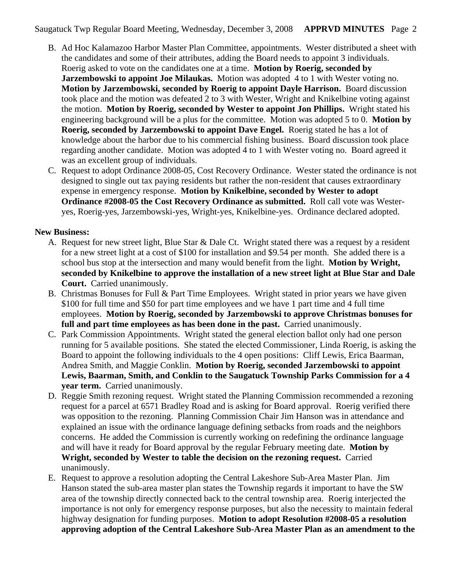Saugatuck Twp Regular Board Meeting, Wednesday, December 3, 2008 **APPRVD MINUTES** Page 2

- B. Ad Hoc Kalamazoo Harbor Master Plan Committee, appointments. Wester distributed a sheet with the candidates and some of their attributes, adding the Board needs to appoint 3 individuals. Roerig asked to vote on the candidates one at a time. **Motion by Roerig, seconded by Jarzembowski to appoint Joe Milaukas.** Motion was adopted 4 to 1 with Wester voting no. **Motion by Jarzembowski, seconded by Roerig to appoint Dayle Harrison.** Board discussion took place and the motion was defeated 2 to 3 with Wester, Wright and Knikelbine voting against the motion. **Motion by Roerig, seconded by Wester to appoint Jon Phillips.** Wright stated his engineering background will be a plus for the committee. Motion was adopted 5 to 0. **Motion by Roerig, seconded by Jarzembowski to appoint Dave Engel.** Roerig stated he has a lot of knowledge about the harbor due to his commercial fishing business. Board discussion took place regarding another candidate. Motion was adopted 4 to 1 with Wester voting no. Board agreed it was an excellent group of individuals.
- C. Request to adopt Ordinance 2008-05, Cost Recovery Ordinance. Wester stated the ordinance is not designed to single out tax paying residents but rather the non-resident that causes extraordinary expense in emergency response. **Motion by Knikelbine, seconded by Wester to adopt Ordinance #2008-05 the Cost Recovery Ordinance as submitted.** Roll call vote was Westeryes, Roerig-yes, Jarzembowski-yes, Wright-yes, Knikelbine-yes. Ordinance declared adopted.

## **New Business:**

- A. Request for new street light, Blue Star & Dale Ct. Wright stated there was a request by a resident for a new street light at a cost of \$100 for installation and \$9.54 per month. She added there is a school bus stop at the intersection and many would benefit from the light. **Motion by Wright, seconded by Knikelbine to approve the installation of a new street light at Blue Star and Dale Court.** Carried unanimously.
- B. Christmas Bonuses for Full & Part Time Employees. Wright stated in prior years we have given \$100 for full time and \$50 for part time employees and we have 1 part time and 4 full time employees. **Motion by Roerig, seconded by Jarzembowski to approve Christmas bonuses for**  full and part time employees as has been done in the past. Carried unanimously.
- C. Park Commission Appointments. Wright stated the general election ballot only had one person running for 5 available positions. She stated the elected Commissioner, Linda Roerig, is asking the Board to appoint the following individuals to the 4 open positions: Cliff Lewis, Erica Baarman, Andrea Smith, and Maggie Conklin. **Motion by Roerig, seconded Jarzembowski to appoint Lewis, Baarman, Smith, and Conklin to the Saugatuck Township Parks Commission for a 4 year term.** Carried unanimously.
- D. Reggie Smith rezoning request. Wright stated the Planning Commission recommended a rezoning request for a parcel at 6571 Bradley Road and is asking for Board approval. Roerig verified there was opposition to the rezoning. Planning Commission Chair Jim Hanson was in attendance and explained an issue with the ordinance language defining setbacks from roads and the neighbors concerns. He added the Commission is currently working on redefining the ordinance language and will have it ready for Board approval by the regular February meeting date. **Motion by Wright, seconded by Wester to table the decision on the rezoning request.** Carried unanimously.
- E. Request to approve a resolution adopting the Central Lakeshore Sub-Area Master Plan. Jim Hanson stated the sub-area master plan states the Township regards it important to have the SW area of the township directly connected back to the central township area. Roerig interjected the importance is not only for emergency response purposes, but also the necessity to maintain federal highway designation for funding purposes. **Motion to adopt Resolution #2008-05 a resolution approving adoption of the Central Lakeshore Sub-Area Master Plan as an amendment to the**